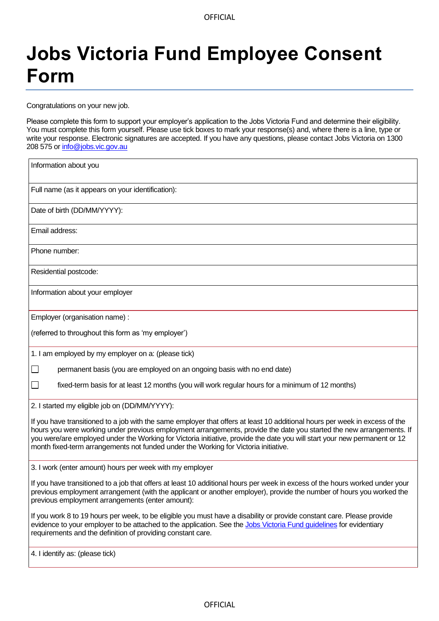## **Jobs Victoria Fund Employee Consent Form**

Congratulations on your new job.

Please complete this form to support your employer's application to the Jobs Victoria Fund and determine their eligibility. You must complete this form yourself. Please use tick boxes to mark your response(s) and, where there is a line, type or write your response. Electronic signatures are accepted. If you have any questions, please contact Jobs Victoria on 1300 208 575 or [info@jobs.vic.gov.au](http://info@jobs.vic.gov.au)

| Information about you                                                                                                                                                                                                                                                                                                                                                                                                                                                   |  |  |
|-------------------------------------------------------------------------------------------------------------------------------------------------------------------------------------------------------------------------------------------------------------------------------------------------------------------------------------------------------------------------------------------------------------------------------------------------------------------------|--|--|
| Full name (as it appears on your identification):                                                                                                                                                                                                                                                                                                                                                                                                                       |  |  |
| Date of birth (DD/MM/YYYY):                                                                                                                                                                                                                                                                                                                                                                                                                                             |  |  |
| Email address:                                                                                                                                                                                                                                                                                                                                                                                                                                                          |  |  |
| Phone number:                                                                                                                                                                                                                                                                                                                                                                                                                                                           |  |  |
| Residential postcode:                                                                                                                                                                                                                                                                                                                                                                                                                                                   |  |  |
| Information about your employer                                                                                                                                                                                                                                                                                                                                                                                                                                         |  |  |
| Employer (organisation name) :                                                                                                                                                                                                                                                                                                                                                                                                                                          |  |  |
| (referred to throughout this form as 'my employer')                                                                                                                                                                                                                                                                                                                                                                                                                     |  |  |
| 1. I am employed by my employer on a: (please tick)                                                                                                                                                                                                                                                                                                                                                                                                                     |  |  |
| permanent basis (you are employed on an ongoing basis with no end date)                                                                                                                                                                                                                                                                                                                                                                                                 |  |  |
| fixed-term basis for at least 12 months (you will work regular hours for a minimum of 12 months)                                                                                                                                                                                                                                                                                                                                                                        |  |  |
| 2. I started my eligible job on (DD/MM/YYYY):                                                                                                                                                                                                                                                                                                                                                                                                                           |  |  |
| If you have transitioned to a job with the same employer that offers at least 10 additional hours per week in excess of the<br>hours you were working under previous employment arrangements, provide the date you started the new arrangements. If<br>you were/are employed under the Working for Victoria initiative, provide the date you will start your new permanent or 12<br>month fixed-term arrangements not funded under the Working for Victoria initiative. |  |  |
| 3. I work (enter amount) hours per week with my employer                                                                                                                                                                                                                                                                                                                                                                                                                |  |  |
| If you have transitioned to a job that offers at least 10 additional hours per week in excess of the hours worked under your<br>previous employment arrangement (with the applicant or another employer), provide the number of hours you worked the<br>previous employment arrangements (enter amount):                                                                                                                                                                |  |  |
| If you work 8 to 19 hours per week, to be eligible you must have a disability or provide constant care. Please provide<br>evidence to your employer to be attached to the application. See the Jobs Victoria Fund quidelines for evidentiary<br>requirements and the definition of providing constant care.                                                                                                                                                             |  |  |
| 4. I identify as: (please tick)                                                                                                                                                                                                                                                                                                                                                                                                                                         |  |  |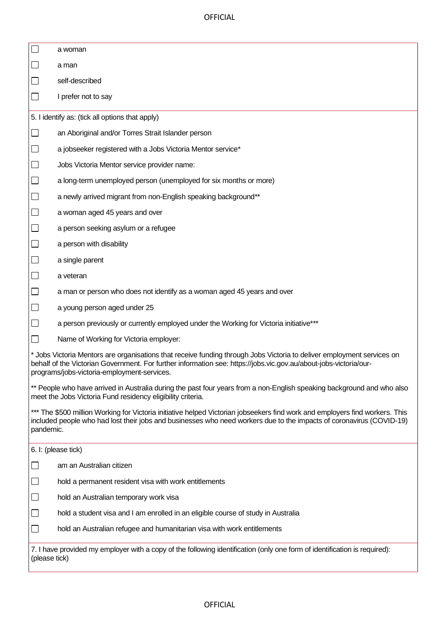OFFICIAL

|                                                                                                                                                                                                                                                                                            | a woman                                                                                |  |
|--------------------------------------------------------------------------------------------------------------------------------------------------------------------------------------------------------------------------------------------------------------------------------------------|----------------------------------------------------------------------------------------|--|
|                                                                                                                                                                                                                                                                                            | a man                                                                                  |  |
|                                                                                                                                                                                                                                                                                            | self-described                                                                         |  |
|                                                                                                                                                                                                                                                                                            | I prefer not to say                                                                    |  |
| 5. I identify as: (tick all options that apply)                                                                                                                                                                                                                                            |                                                                                        |  |
| $\Box$                                                                                                                                                                                                                                                                                     | an Aboriginal and/or Torres Strait Islander person                                     |  |
| $\mathcal{L}_{\mathcal{A}}$                                                                                                                                                                                                                                                                | a jobseeker registered with a Jobs Victoria Mentor service*                            |  |
| $\Box$                                                                                                                                                                                                                                                                                     | Jobs Victoria Mentor service provider name:                                            |  |
| $\Box$                                                                                                                                                                                                                                                                                     | a long-term unemployed person (unemployed for six months or more)                      |  |
|                                                                                                                                                                                                                                                                                            | a newly arrived migrant from non-English speaking background**                         |  |
|                                                                                                                                                                                                                                                                                            | a woman aged 45 years and over                                                         |  |
| $\Box$                                                                                                                                                                                                                                                                                     | a person seeking asylum or a refugee                                                   |  |
| $\Box$                                                                                                                                                                                                                                                                                     | a person with disability                                                               |  |
|                                                                                                                                                                                                                                                                                            | a single parent                                                                        |  |
|                                                                                                                                                                                                                                                                                            | a veteran                                                                              |  |
|                                                                                                                                                                                                                                                                                            | a man or person who does not identify as a woman aged 45 years and over                |  |
|                                                                                                                                                                                                                                                                                            | a young person aged under 25                                                           |  |
|                                                                                                                                                                                                                                                                                            | a person previously or currently employed under the Working for Victoria initiative*** |  |
|                                                                                                                                                                                                                                                                                            | Name of Working for Victoria employer:                                                 |  |
| * Jobs Victoria Mentors are organisations that receive funding through Jobs Victoria to deliver employment services on<br>behalf of the Victorian Government. For further information see: https://jobs.vic.gov.au/about-jobs-victoria/our-<br>programs/jobs-victoria-employment-services. |                                                                                        |  |
| ** People who have arrived in Australia during the past four years from a non-English speaking background and who also<br>meet the Jobs Victoria Fund residency eligibility criteria.                                                                                                      |                                                                                        |  |
| *** The \$500 million Working for Victoria initiative helped Victorian jobseekers find work and employers find workers. This<br>included people who had lost their jobs and businesses who need workers due to the impacts of coronavirus (COVID-19)<br>pandemic.                          |                                                                                        |  |
| 6. I: (please tick)                                                                                                                                                                                                                                                                        |                                                                                        |  |
|                                                                                                                                                                                                                                                                                            | am an Australian citizen                                                               |  |
|                                                                                                                                                                                                                                                                                            | hold a permanent resident visa with work entitlements                                  |  |
|                                                                                                                                                                                                                                                                                            | hold an Australian temporary work visa                                                 |  |
|                                                                                                                                                                                                                                                                                            | hold a student visa and I am enrolled in an eligible course of study in Australia      |  |
| $\overline{\phantom{a}}$                                                                                                                                                                                                                                                                   | hold an Australian refugee and humanitarian visa with work entitlements                |  |
| 7. I have provided my employer with a copy of the following identification (only one form of identification is required):<br>(please tick)                                                                                                                                                 |                                                                                        |  |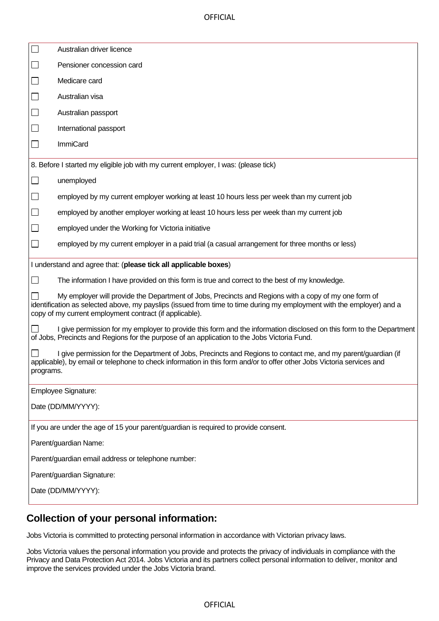**OFFICIAL** 

|                                                                                                                                                                                                                                                                                          | Australian driver licence                                                                                                                                                                                                              |  |
|------------------------------------------------------------------------------------------------------------------------------------------------------------------------------------------------------------------------------------------------------------------------------------------|----------------------------------------------------------------------------------------------------------------------------------------------------------------------------------------------------------------------------------------|--|
|                                                                                                                                                                                                                                                                                          | Pensioner concession card                                                                                                                                                                                                              |  |
| $\Box$                                                                                                                                                                                                                                                                                   | Medicare card                                                                                                                                                                                                                          |  |
| $\Box$                                                                                                                                                                                                                                                                                   | Australian visa                                                                                                                                                                                                                        |  |
| $\Box$                                                                                                                                                                                                                                                                                   | Australian passport                                                                                                                                                                                                                    |  |
| $\Box$                                                                                                                                                                                                                                                                                   | International passport                                                                                                                                                                                                                 |  |
| $\Box$                                                                                                                                                                                                                                                                                   | <b>ImmiCard</b>                                                                                                                                                                                                                        |  |
| 8. Before I started my eligible job with my current employer, I was: (please tick)                                                                                                                                                                                                       |                                                                                                                                                                                                                                        |  |
|                                                                                                                                                                                                                                                                                          | unemployed                                                                                                                                                                                                                             |  |
|                                                                                                                                                                                                                                                                                          | employed by my current employer working at least 10 hours less per week than my current job                                                                                                                                            |  |
| $\Box$                                                                                                                                                                                                                                                                                   | employed by another employer working at least 10 hours less per week than my current job                                                                                                                                               |  |
| $\Box$                                                                                                                                                                                                                                                                                   | employed under the Working for Victoria initiative                                                                                                                                                                                     |  |
|                                                                                                                                                                                                                                                                                          | employed by my current employer in a paid trial (a casual arrangement for three months or less)                                                                                                                                        |  |
| I understand and agree that: (please tick all applicable boxes)                                                                                                                                                                                                                          |                                                                                                                                                                                                                                        |  |
|                                                                                                                                                                                                                                                                                          | The information I have provided on this form is true and correct to the best of my knowledge.                                                                                                                                          |  |
| My employer will provide the Department of Jobs, Precincts and Regions with a copy of my one form of<br>identification as selected above, my payslips (issued from time to time during my employment with the employer) and a<br>copy of my current employment contract (if applicable). |                                                                                                                                                                                                                                        |  |
|                                                                                                                                                                                                                                                                                          | I give permission for my employer to provide this form and the information disclosed on this form to the Department<br>of Jobs, Precincts and Regions for the purpose of an application to the Jobs Victoria Fund.                     |  |
| programs.                                                                                                                                                                                                                                                                                | I give permission for the Department of Jobs, Precincts and Regions to contact me, and my parent/guardian (if<br>applicable), by email or telephone to check information in this form and/or to offer other Jobs Victoria services and |  |
| Employee Signature:                                                                                                                                                                                                                                                                      |                                                                                                                                                                                                                                        |  |
| Date (DD/MM/YYYY):                                                                                                                                                                                                                                                                       |                                                                                                                                                                                                                                        |  |
| If you are under the age of 15 your parent/guardian is required to provide consent.                                                                                                                                                                                                      |                                                                                                                                                                                                                                        |  |
| Parent/guardian Name:                                                                                                                                                                                                                                                                    |                                                                                                                                                                                                                                        |  |
| Parent/guardian email address or telephone number:                                                                                                                                                                                                                                       |                                                                                                                                                                                                                                        |  |
| Parent/guardian Signature:                                                                                                                                                                                                                                                               |                                                                                                                                                                                                                                        |  |
| Date (DD/MM/YYYY):                                                                                                                                                                                                                                                                       |                                                                                                                                                                                                                                        |  |
|                                                                                                                                                                                                                                                                                          |                                                                                                                                                                                                                                        |  |

## **Collection of your personal information:**

Jobs Victoria is committed to protecting personal information in accordance with Victorian privacy laws.

Jobs Victoria values the personal information you provide and protects the privacy of individuals in compliance with the Privacy and Data Protection Act 2014. Jobs Victoria and its partners collect personal information to deliver, monitor and improve the services provided under the Jobs Victoria brand.